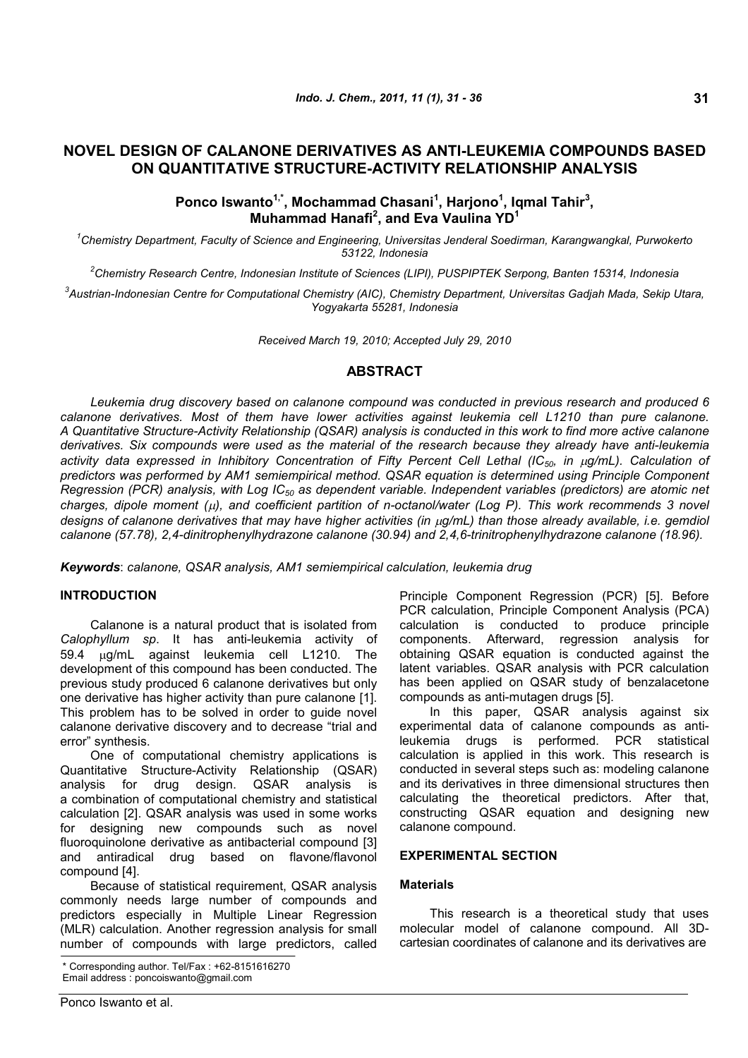# **NOVEL DESIGN OF CALANONE DERIVATIVES AS ANTI-LEUKEMIA COMPOUNDS BASED ON QUANTITATIVE STRUCTURE-ACTIVITY RELATIONSHIP ANALYSIS**

## **Ponco Iswanto1,\*, Mochammad Chasani<sup>1</sup> , Harjono<sup>1</sup> , Iqmal Tahir<sup>3</sup> , Muhammad Hanafi<sup>2</sup> , and Eva Vaulina YD<sup>1</sup>**

*<sup>1</sup>Chemistry Department, Faculty of Science and Engineering, Universitas Jenderal Soedirman, Karangwangkal, Purwokerto 53122, Indonesia*

*<sup>2</sup>Chemistry Research Centre, Indonesian Institute of Sciences (LIPI), PUSPIPTEK Serpong, Banten 15314, Indonesia*

*3 Austrian-Indonesian Centre for Computational Chemistry (AIC), Chemistry Department, Universitas Gadjah Mada, Sekip Utara, Yogyakarta 55281, Indonesia*

*Received March 19, 2010; Accepted July 29, 2010*

## **ABSTRACT**

*Leukemia drug discovery based on calanone compound was conducted in previous research and produced 6 calanone derivatives. Most of them have lower activities against leukemia cell L1210 than pure calanone. A Quantitative Structure-Activity Relationship (QSAR) analysis is conducted in this work to find more active calanone derivatives. Six compounds were used as the material of the research because they already have anti-leukemia* activity data expressed in Inhibitory Concentration of Fifty Percent Cell Lethal (IC<sub>50</sub>, in *g/mL)*. Calculation of *predictors was performed by AM1 semiempirical method. QSAR equation is determined using Principle Component Regression (PCR) analysis, with Log IC<sup>50</sup> as dependent variable. Independent variables (predictors) are atomic net charges, dipole moment (), and coefficient partition of n-octanol/water (Log P). This work recommends 3 novel designs of calanone derivatives that may have higher activities (in g/mL) than those already available, i.e. gemdiol calanone (57.78), 2,4-dinitrophenylhydrazone calanone (30.94) and 2,4,6-trinitrophenylhydrazone calanone (18.96).*

*Keywords*: *calanone, QSAR analysis, AM1 semiempirical calculation, leukemia drug*

### **INTRODUCTION**

Calanone is a natural product that is isolated from *Calophyllum sp*. It has anti-leukemia activity of 59.4 g/mL against leukemia cell L1210. The development of this compound has been conducted. The previous study produced 6 calanone derivatives but only one derivative has higher activity than pure calanone [1]. This problem has to be solved in order to guide novel calanone derivative discovery and to decrease "trial and error" synthesis.

One of computational chemistry applications is Quantitative Structure-Activity Relationship (QSAR) analysis for drug design. QSAR analysis is a combination of computational chemistry and statistical calculation [2]. QSAR analysis was used in some works for designing new compounds such as novel fluoroquinolone derivative as antibacterial compound [3] and antiradical drug based on flavone/flavonol compound [4].

Because of statistical requirement, QSAR analysis commonly needs large number of compounds and predictors especially in Multiple Linear Regression (MLR) calculation. Another regression analysis for small number of compounds with large predictors, called

Principle Component Regression (PCR) [5]. Before PCR calculation, Principle Component Analysis (PCA) calculation is conducted to produce principle components. Afterward, regression analysis for obtaining QSAR equation is conducted against the latent variables. QSAR analysis with PCR calculation has been applied on QSAR study of benzalacetone compounds as anti-mutagen drugs [5].

In this paper, QSAR analysis against six experimental data of calanone compounds as antileukemia drugs is performed. PCR statistical calculation is applied in this work. This research is conducted in several steps such as: modeling calanone and its derivatives in three dimensional structures then calculating the theoretical predictors. After that, constructing QSAR equation and designing new calanone compound.

## **EXPERIMENTAL SECTION**

## **Materials**

This research is a theoretical study that uses molecular model of calanone compound. All 3Dcartesian coordinates of calanone and its derivatives are

Corresponding author. Tel/Fax : +62-8151616270 Email address : poncoiswanto@gmail.com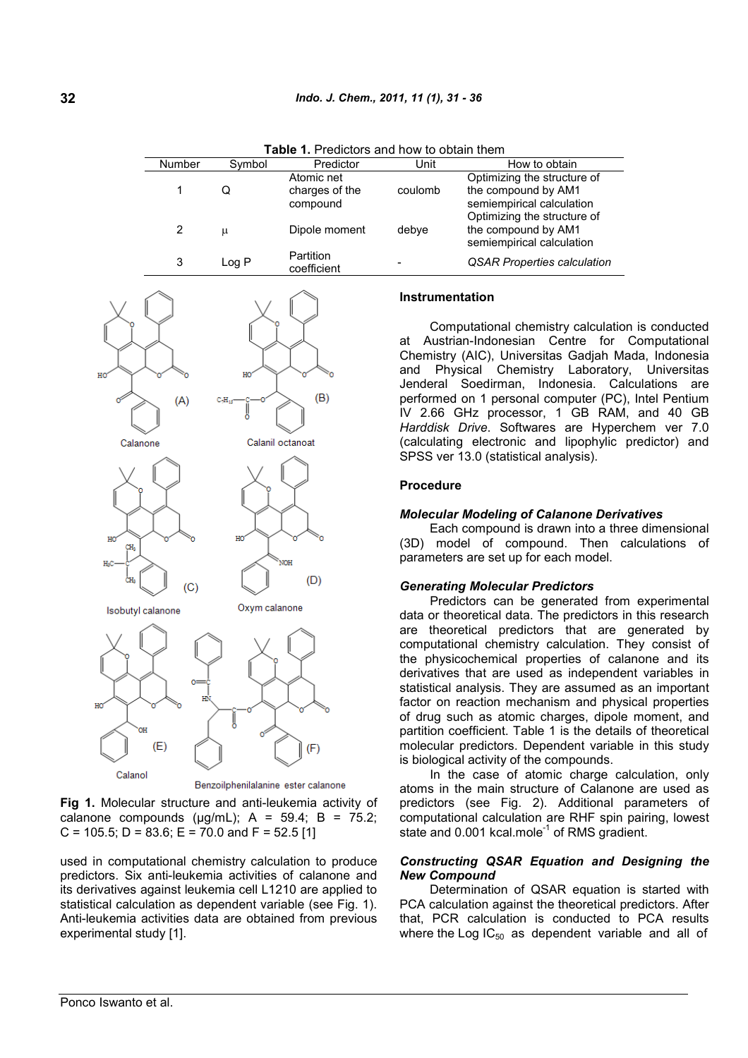| $\overline{\phantom{a}}$ . Tease and thow to obtain them. |        |                                          |         |                                                                                 |  |  |  |
|-----------------------------------------------------------|--------|------------------------------------------|---------|---------------------------------------------------------------------------------|--|--|--|
| <b>Number</b>                                             | Symbol | Predictor                                | Unit    | How to obtain                                                                   |  |  |  |
|                                                           | Q      | Atomic net<br>charges of the<br>compound | coulomb | Optimizing the structure of<br>the compound by AM1<br>semiempirical calculation |  |  |  |
| 2                                                         | μ      | Dipole moment                            | debye   | Optimizing the structure of<br>the compound by AM1<br>semiempirical calculation |  |  |  |
| 3                                                         | Log P  | Partition<br>coefficient                 |         | <b>QSAR Properties calculation</b>                                              |  |  |  |

**Table 1.** Predictors and how to obtain them



**Fig 1.** Molecular structure and anti-leukemia activity of calanone compounds ( $\mu$ g/mL); A = 59.4; B = 75.2; C = 105.5; D = 83.6; E = 70.0 and F = 52.5 [1]

used in computational chemistry calculation to produce predictors. Six anti-leukemia activities of calanone and its derivatives against leukemia cell L1210 are applied to statistical calculation as dependent variable (see Fig. 1). Anti-leukemia activities data are obtained from previous experimental study [1].

#### **Instrumentation**

Computational chemistry calculation is conducted at Austrian-Indonesian Centre for Computational Chemistry (AIC), Universitas Gadjah Mada, Indonesia and Physical Chemistry Laboratory, Universitas Jenderal Soedirman, Indonesia. Calculations are performed on 1 personal computer (PC), Intel Pentium IV 2.66 GHz processor, 1 GB RAM, and 40 GB *Harddisk Drive*. Softwares are Hyperchem ver 7.0 (calculating electronic and lipophylic predictor) and SPSS ver 13.0 (statistical analysis).

#### **Procedure**

#### *Molecular Modeling of Calanone Derivatives*

Each compound is drawn into a three dimensional (3D) model of compound. Then calculations of parameters are set up for each model.

#### *Generating Molecular Predictors*

Predictors can be generated from experimental data or theoretical data. The predictors in this research are theoretical predictors that are generated by computational chemistry calculation. They consist of the physicochemical properties of calanone and its derivatives that are used as independent variables in statistical analysis. They are assumed as an important factor on reaction mechanism and physical properties of drug such as atomic charges, dipole moment, and partition coefficient. Table 1 is the details of theoretical molecular predictors. Dependent variable in this study is biological activity of the compounds.

In the case of atomic charge calculation, only atoms in the main structure of Calanone are used as predictors (see Fig. 2). Additional parameters of computational calculation are RHF spin pairing, lowest state and 0.001 kcal.mole<sup>-1</sup> of RMS gradient.

### *Constructing QSAR Equation and Designing the New Compound*

Determination of QSAR equation is started with PCA calculation against the theoretical predictors. After that, PCR calculation is conducted to PCA results where the Log  $IC_{50}$  as dependent variable and all of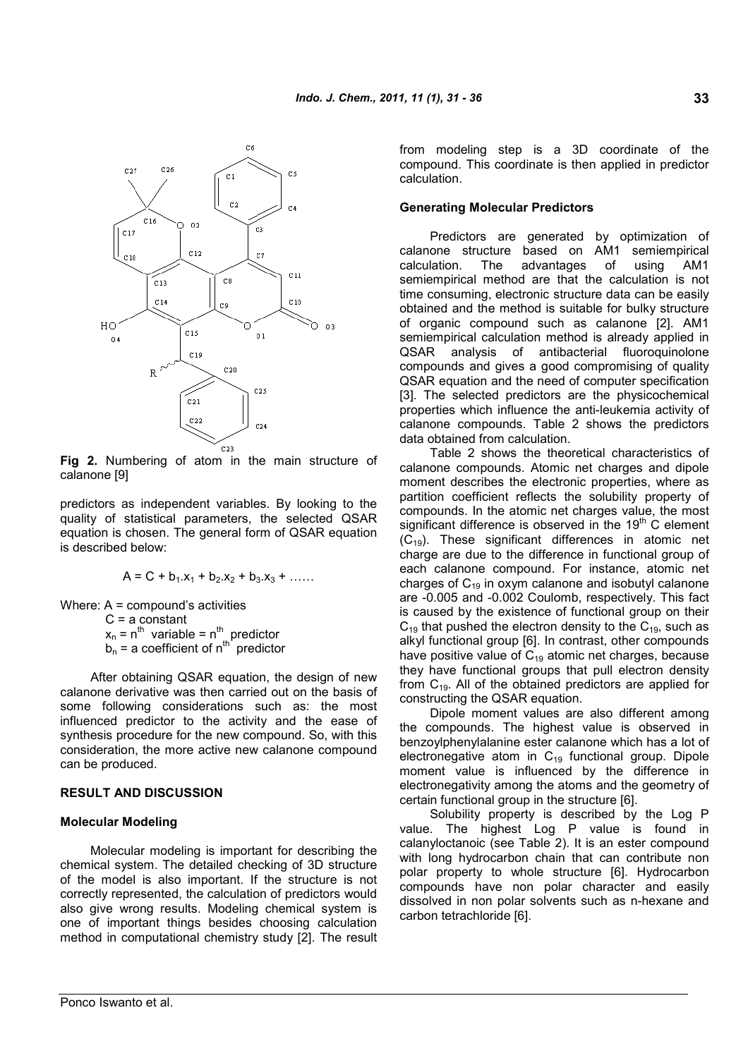

**Fig 2.** Numbering of atom in the main structure of calanone [9]

predictors as independent variables. By looking to the quality of statistical parameters, the selected QSAR equation is chosen. The general form of QSAR equation is described below:

$$
A = C + b_1 x_1 + b_2 x_2 + b_3 x_3 + \dots
$$

Where: A = compound's activities

 $C = a constant$  $x_n = n^{th}$  variable =  $n^{th}$  predictor  $b_n$  = a coefficient of n<sup>th</sup> predictor

After obtaining QSAR equation, the design of new calanone derivative was then carried out on the basis of some following considerations such as: the most influenced predictor to the activity and the ease of synthesis procedure for the new compound. So, with this consideration, the more active new calanone compound can be produced.

## **RESULT AND DISCUSSION**

#### **Molecular Modeling**

Molecular modeling is important for describing the chemical system. The detailed checking of 3D structure of the model is also important. If the structure is not correctly represented, the calculation of predictors would also give wrong results. Modeling chemical system is one of important things besides choosing calculation method in computational chemistry study [2]. The result from modeling step is a 3D coordinate of the compound. This coordinate is then applied in predictor calculation.

### **Generating Molecular Predictors**

Predictors are generated by optimization of calanone structure based on AM1 semiempirical calculation. The advantages of using AM1 semiempirical method are that the calculation is not time consuming, electronic structure data can be easily obtained and the method is suitable for bulky structure of organic compound such as calanone [2]. AM1 semiempirical calculation method is already applied in QSAR analysis of antibacterial fluoroquinolone compounds and gives a good compromising of quality QSAR equation and the need of computer specification [3]. The selected predictors are the physicochemical properties which influence the anti-leukemia activity of calanone compounds. Table 2 shows the predictors data obtained from calculation.

Table 2 shows the theoretical characteristics of calanone compounds. Atomic net charges and dipole moment describes the electronic properties, where as partition coefficient reflects the solubility property of compounds. In the atomic net charges value, the most significant difference is observed in the  $19<sup>th</sup>$  C element  $(C_{19})$ . These significant differences in atomic net charge are due to the difference in functional group of each calanone compound. For instance, atomic net charges of  $C_{19}$  in oxym calanone and isobutyl calanone are -0.005 and -0.002 Coulomb, respectively. This fact is caused by the existence of functional group on their  $C_{19}$  that pushed the electron density to the  $C_{19}$ , such as alkyl functional group [6]. In contrast, other compounds have positive value of  $C_{19}$  atomic net charges, because they have functional groups that pull electron density from C<sub>19</sub>. All of the obtained predictors are applied for constructing the QSAR equation.

Dipole moment values are also different among the compounds. The highest value is observed in benzoylphenylalanine ester calanone which has a lot of electronegative atom in  $C_{19}$  functional group. Dipole moment value is influenced by the difference in electronegativity among the atoms and the geometry of certain functional group in the structure [6].

Solubility property is described by the Log P value. The highest Log P value is found in calanyloctanoic (see Table 2). It is an ester compound with long hydrocarbon chain that can contribute non polar property to whole structure [6]. Hydrocarbon compounds have non polar character and easily dissolved in non polar solvents such as n-hexane and carbon tetrachloride [6].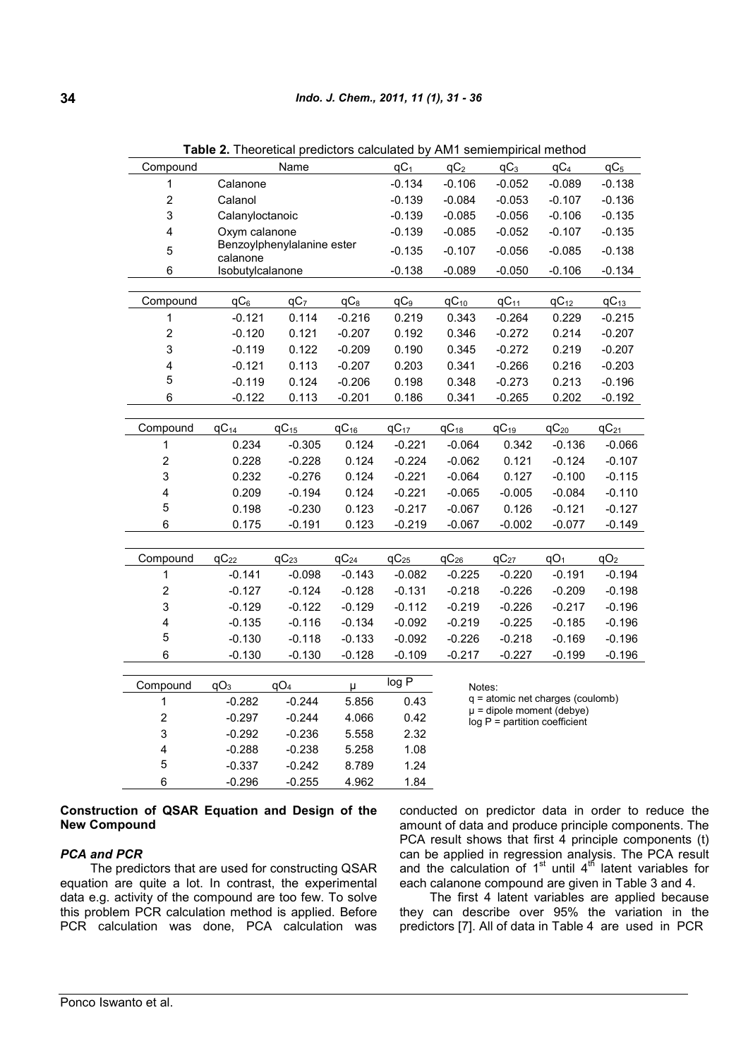| Compound                |                              | Name            |                 | $qC_1$          | qC <sub>2</sub>                                                                                                  | $qC_3$    | qC <sub>4</sub> | $qC_5$          |
|-------------------------|------------------------------|-----------------|-----------------|-----------------|------------------------------------------------------------------------------------------------------------------|-----------|-----------------|-----------------|
| 1                       | Calanone                     |                 |                 | $-0.134$        | $-0.106$                                                                                                         | $-0.052$  | $-0.089$        | $-0.138$        |
| $\overline{\mathbf{c}}$ | Calanol                      |                 |                 | $-0.139$        | $-0.084$                                                                                                         | $-0.053$  | $-0.107$        | $-0.136$        |
| 3                       | Calanyloctanoic              |                 |                 | $-0.139$        | $-0.085$                                                                                                         | $-0.056$  | $-0.106$        | $-0.135$        |
| $\overline{\mathbf{4}}$ |                              | Oxym calanone   |                 |                 | $-0.085$                                                                                                         | $-0.052$  | $-0.107$        | $-0.135$        |
| 5                       | Benzoylphenylalanine ester   |                 |                 | $-0.135$        | $-0.107$                                                                                                         | $-0.056$  | $-0.085$        | $-0.138$        |
| 6                       | calanone<br>Isobutylcalanone |                 |                 | $-0.138$        | $-0.089$                                                                                                         | $-0.050$  | $-0.106$        | $-0.134$        |
|                         |                              |                 |                 |                 |                                                                                                                  |           |                 |                 |
| Compound                | qC <sub>6</sub>              | qC <sub>7</sub> | qC <sub>8</sub> | qC <sub>9</sub> | $qC_{10}$                                                                                                        | $qC_{11}$ | $qC_{12}$       | $qC_{13}$       |
| 1                       | $-0.121$                     | 0.114           | $-0.216$        | 0.219           | 0.343                                                                                                            | $-0.264$  | 0.229           | $-0.215$        |
| $\overline{c}$          | $-0.120$                     | 0.121           | $-0.207$        | 0.192           | 0.346                                                                                                            | $-0.272$  | 0.214           | $-0.207$        |
| 3                       | $-0.119$                     | 0.122           | $-0.209$        | 0.190           | 0.345                                                                                                            | $-0.272$  | 0.219           | $-0.207$        |
| $\overline{\mathbf{4}}$ | $-0.121$                     | 0.113           | $-0.207$        | 0.203           | 0.341                                                                                                            | $-0.266$  | 0.216           | $-0.203$        |
| 5                       | $-0.119$                     | 0.124           | $-0.206$        | 0.198           | 0.348                                                                                                            | $-0.273$  | 0.213           | $-0.196$        |
| 6                       | $-0.122$                     | 0.113           | $-0.201$        | 0.186           | 0.341                                                                                                            | $-0.265$  | 0.202           | $-0.192$        |
|                         |                              |                 |                 |                 |                                                                                                                  |           |                 |                 |
| Compound                | $qC_{14}$                    | $qC_{15}$       | $qC_{16}$       | $qC_{17}$       | $qC_{18}$                                                                                                        | $qC_{19}$ | $qC_{20}$       | $qC_{21}$       |
| 1                       | 0.234                        | $-0.305$        | 0.124           | $-0.221$        | $-0.064$                                                                                                         | 0.342     | $-0.136$        | $-0.066$        |
| $\overline{\mathbf{c}}$ | 0.228                        | $-0.228$        | 0.124           | $-0.224$        | $-0.062$                                                                                                         | 0.121     | $-0.124$        | $-0.107$        |
| 3                       | 0.232                        | $-0.276$        | 0.124           | $-0.221$        | $-0.064$                                                                                                         | 0.127     | $-0.100$        | $-0.115$        |
| 4                       | 0.209                        | $-0.194$        | 0.124           | $-0.221$        | $-0.065$                                                                                                         | $-0.005$  | $-0.084$        | $-0.110$        |
| 5                       | 0.198                        | $-0.230$        | 0.123           | $-0.217$        | $-0.067$                                                                                                         | 0.126     | $-0.121$        | $-0.127$        |
| 6                       | 0.175                        | $-0.191$        | 0.123           | $-0.219$        | $-0.067$                                                                                                         | $-0.002$  | $-0.077$        | $-0.149$        |
|                         |                              |                 |                 |                 |                                                                                                                  |           |                 |                 |
| Compound                | $qC_{22}$                    | $qC_{23}$       | $qC_{24}$       | $qC_{25}$       | $qC_{26}$                                                                                                        | $qC_{27}$ | qO <sub>1</sub> | qO <sub>2</sub> |
| 1                       | $-0.141$                     | $-0.098$        | $-0.143$        | $-0.082$        | $-0.225$                                                                                                         | $-0.220$  | $-0.191$        | $-0.194$        |
| $\overline{\mathbf{c}}$ | $-0.127$                     | $-0.124$        | $-0.128$        | $-0.131$        | $-0.218$                                                                                                         | $-0.226$  | $-0.209$        | $-0.198$        |
| 3                       | $-0.129$                     | $-0.122$        | $-0.129$        | $-0.112$        | $-0.219$                                                                                                         | $-0.226$  | $-0.217$        | $-0.196$        |
| 4                       | $-0.135$                     | $-0.116$        | $-0.134$        | $-0.092$        | $-0.219$                                                                                                         | $-0.225$  | $-0.185$        | $-0.196$        |
| 5                       | $-0.130$                     | $-0.118$        | $-0.133$        | $-0.092$        | $-0.226$                                                                                                         | $-0.218$  | $-0.169$        | $-0.196$        |
| $6\phantom{1}6$         | $-0.130$                     | $-0.130$        | $-0.128$        | $-0.109$        | $-0.217$                                                                                                         | $-0.227$  | $-0.199$        | $-0.196$        |
|                         |                              |                 |                 |                 |                                                                                                                  |           |                 |                 |
| Compound                | qO <sub>3</sub>              | qO <sub>4</sub> | $\mu$           | log P           | Notes:<br>$q =$ atomic net charges (coulomb)<br>$\mu$ = dipole moment (debye)<br>$log P$ = partition coefficient |           |                 |                 |
| 1                       | $-0.282$                     | $-0.244$        | 5.856           | 0.43            |                                                                                                                  |           |                 |                 |
| $\boldsymbol{2}$        | $-0.297$                     | $-0.244$        | 4.066           | 0.42            |                                                                                                                  |           |                 |                 |
| 3                       | $-0.292$                     | $-0.236$        | 5.558           | 2.32            |                                                                                                                  |           |                 |                 |
| 4                       | $-0.288$                     | $-0.238$        | 5.258           | 1.08            |                                                                                                                  |           |                 |                 |
| 5                       | $-0.337$                     | $-0.242$        | 8.789           | 1.24            |                                                                                                                  |           |                 |                 |
| $6\phantom{1}6$         | $-0.296$                     | $-0.255$        | 4.962           | 1.84            |                                                                                                                  |           |                 |                 |

**Table 2.** Theoretical predictors calculated by AM1 semiempirical method

## **Construction of QSAR Equation and Design of the New Compound**

## *PCA and PCR*

The predictors that are used for constructing QSAR equation are quite a lot. In contrast, the experimental data e.g. activity of the compound are too few. To solve this problem PCR calculation method is applied. Before PCR calculation was done, PCA calculation was

conducted on predictor data in order to reduce the amount of data and produce principle components. The PCA result shows that first 4 principle components (t) can be applied in regression analysis. The PCA result and the calculation of  $1<sup>st</sup>$  until  $4<sup>th</sup>$  latent variables for each calanone compound are given in Table 3 and 4.

The first 4 latent variables are applied because they can describe over 95% the variation in the predictors [7]. All of data in Table 4 are used in PCR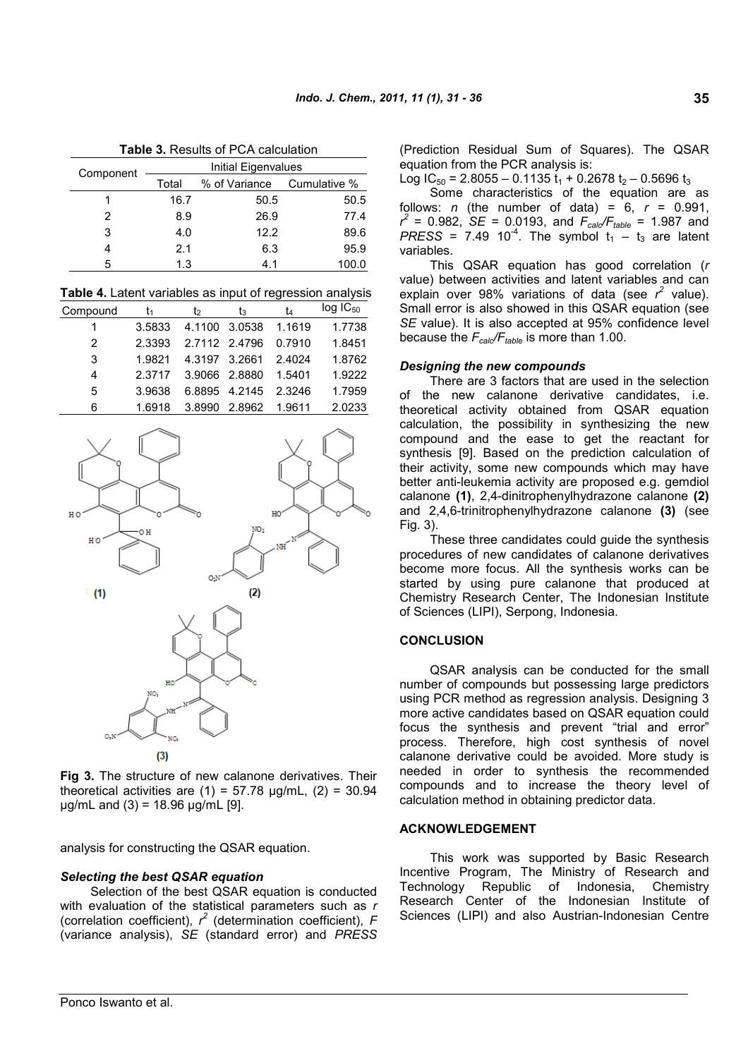**35**

| <b>Table 3. Results of PCA calculation</b> |                     |               |              |  |  |  |
|--------------------------------------------|---------------------|---------------|--------------|--|--|--|
| Component                                  | Initial Eigenvalues |               |              |  |  |  |
|                                            | Total               | % of Variance | Cumulative % |  |  |  |
|                                            | 16.7                | 50.5          | 50.5         |  |  |  |
| 2                                          | 8.9                 | 26.9          | 77.4         |  |  |  |
| 3                                          | 4.0                 | 12.2          | 89.6         |  |  |  |
| 4                                          | 2.1                 | 6.3           | 95.9         |  |  |  |
| 5                                          | 1.3                 | 4.1           | 100.0        |  |  |  |

**Table 4.** Latent variables as input of regression analysis

| Compound | I۱     | I2.           | ŢЗ            | īΔ     | $log$ $IC_{50}$ |
|----------|--------|---------------|---------------|--------|-----------------|
|          | 3.5833 |               | 4.1100 3.0538 | 1.1619 | 1.7738          |
| 2        | 2.3393 | 2.7112 2.4796 |               | 0.7910 | 1.8451          |
| 3        | 1.9821 |               | 4.3197 3.2661 | 2.4024 | 1.8762          |
| 4        | 2.3717 |               | 3.9066 2.8880 | 1.5401 | 1.9222          |
| 5        | 3.9638 |               | 6.8895 4.2145 | 2.3246 | 1.7959          |
| հ        | 1.6918 | 3.8990        | 2.8962        | 1.9611 | 2.0233          |



**Fig 3.** The structure of new calanone derivatives. Their theoretical activities are  $(1) = 57.78$   $\mu$ g/mL,  $(2) = 30.94$  $\mu$ g/mL and (3) = 18.96  $\mu$ g/mL [9].

analysis for constructing the QSAR equation.

## *Selecting the best QSAR equation*

Selection of the best QSAR equation is conducted with evaluation of the statistical parameters such as *r* (correlation coefficient),  $r^2$  (determination coefficient),  $F$ (variance analysis), *SE* (standard error) and *PRESS* (Prediction Residual Sum of Squares). The QSAR equation from the PCR analysis is:

Log  $IC_{50}$  = 2.8055 – 0.1135  $t_1$  + 0.2678  $t_2$  – 0.5696  $t_3$ 

Some characteristics of the equation are as follows:  $n$  (the number of data) =  $6$ ,  $r = 0.991$ ,  $r^2$  = 0.982, *SE* = 0.0193, and  $F_{\text{cal}}/F_{\text{table}}$  = 1.987 and  $PRESS = 7.49 10<sup>-4</sup>$ . The symbol  $t_1 - t_3$  are latent variables.

This QSAR equation has good correlation (*r* value) between activities and latent variables and can explain over 98% variations of data (see  $r^2$  value). Small error is also showed in this QSAR equation (see *SE* value). It is also accepted at 95% confidence level because the *Fcalc/Ftable* is more than 1.00.

### *Designing the new compounds*

There are 3 factors that are used in the selection of the new calanone derivative candidates, i.e. theoretical activity obtained from QSAR equation calculation, the possibility in synthesizing the new compound and the ease to get the reactant for synthesis [9]. Based on the prediction calculation of their activity, some new compounds which may have better anti-leukemia activity are proposed e.g. gemdiol calanone **(1)**, 2,4-dinitrophenylhydrazone calanone **(2)** and 2,4,6-trinitrophenylhydrazone calanone **(3)** (see Fig. 3).

These three candidates could guide the synthesis procedures of new candidates of calanone derivatives become more focus. All the synthesis works can be started by using pure calanone that produced at Chemistry Research Center, The Indonesian Institute of Sciences (LIPI), Serpong, Indonesia.

## **CONCLUSION**

QSAR analysis can be conducted for the small number of compounds but possessing large predictors using PCR method as regression analysis. Designing 3 more active candidates based on QSAR equation could focus the synthesis and prevent "trial and error" process. Therefore, high cost synthesis of novel calanone derivative could be avoided. More study is needed in order to synthesis the recommended compounds and to increase the theory level of calculation method in obtaining predictor data.

#### **ACKNOWLEDGEMENT**

This work was supported by Basic Research Incentive Program, The Ministry of Research and Technology Republic of Indonesia, Chemistry Research Center of the Indonesian Institute of Sciences (LIPI) and also Austrian-Indonesian Centre